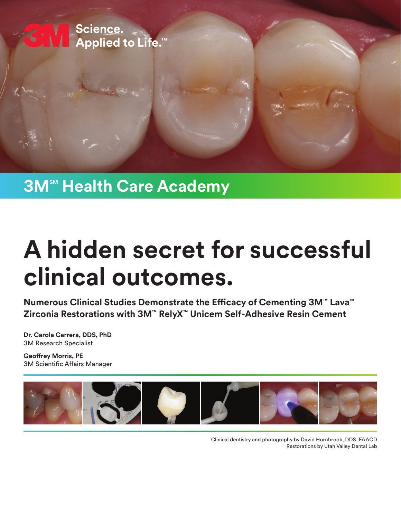

## **3M<sup>™</sup> Health Care Academy**

# **A hidden secret for successful clinical outcomes.**

**Numerous Clinical Studies Demonstrate the Efficacy of Cementing 3M™ Lava™ Zirconia Restorations with 3M™ RelyX™ Unicem Self-Adhesive Resin Cement**

**Dr. Carola Carrera, DDS, PhD** 3M Research Specialist

**Geoffrey Morris, PE** 3M Scientific Affairs Manager



Clinical dentistry and photography by David Hornbrook, DDS, FAACD Restorations by Utah Valley Dental Lab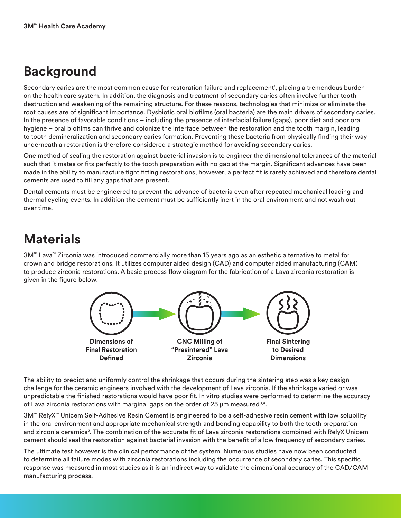#### **Background**

Secondary caries are the most common cause for restoration failure and replacement<sup>1</sup>, placing a tremendous burden on the health care system. In addition, the diagnosis and treatment of secondary caries often involve further tooth destruction and weakening of the remaining structure. For these reasons, technologies that minimize or eliminate the root causes are of significant importance. Dysbiotic oral biofilms (oral bacteria) are the main drivers of secondary caries. In the presence of favorable conditions – including the presence of interfacial failure (gaps), poor diet and poor oral hygiene – oral biofilms can thrive and colonize the interface between the restoration and the tooth margin, leading to tooth demineralization and secondary caries formation. Preventing these bacteria from physically finding their way underneath a restoration is therefore considered a strategic method for avoiding secondary caries.

One method of sealing the restoration against bacterial invasion is to engineer the dimensional tolerances of the material such that it mates or fits perfectly to the tooth preparation with no gap at the margin. Significant advances have been made in the ability to manufacture tight fitting restorations, however, a perfect fit is rarely achieved and therefore dental cements are used to fill any gaps that are present.

Dental cements must be engineered to prevent the advance of bacteria even after repeated mechanical loading and thermal cycling events. In addition the cement must be sufficiently inert in the oral environment and not wash out over time.

### **Materials**

3M™ Lava™ Zirconia was introduced commercially more than 15 years ago as an esthetic alternative to metal for crown and bridge restorations. It utilizes computer aided design (CAD) and computer aided manufacturing (CAM) to produce zirconia restorations. A basic process flow diagram for the fabrication of a Lava zirconia restoration is given in the figure below.



The ability to predict and uniformly control the shrinkage that occurs during the sintering step was a key design challenge for the ceramic engineers involved with the development of Lava zirconia. If the shrinkage varied or was unpredictable the finished restorations would have poor fit. In vitro studies were performed to determine the accuracy of Lava zirconia restorations with marginal gaps on the order of 25  $\mu$ m measured<sup>3,4</sup>.

3M™ RelyX™ Unicem Self-Adhesive Resin Cement is engineered to be a self-adhesive resin cement with low solubility in the oral environment and appropriate mechanical strength and bonding capability to both the tooth preparation and zirconia ceramics<sup>5</sup>. The combination of the accurate fit of Lava zirconia restorations combined with RelyX Unicem cement should seal the restoration against bacterial invasion with the benefit of a low frequency of secondary caries.

The ultimate test however is the clinical performance of the system. Numerous studies have now been conducted to determine all failure modes with zirconia restorations including the occurrence of secondary caries. This specific response was measured in most studies as it is an indirect way to validate the dimensional accuracy of the CAD/CAM manufacturing process.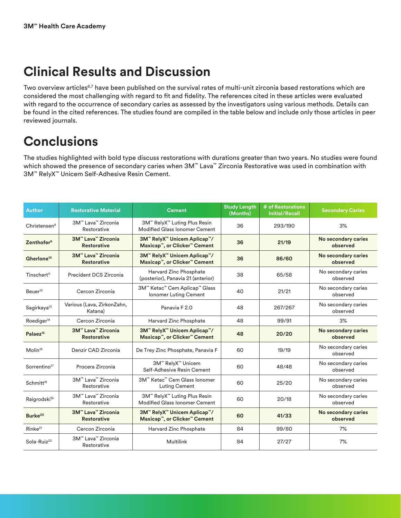### **Clinical Results and Discussion**

Two overview articles<sup>6,7</sup> have been published on the survival rates of multi-unit zirconia based restorations which are considered the most challenging with regard to fit and fidelity. The references cited in these articles were evaluated with regard to the occurrence of secondary caries as assessed by the investigators using various methods. Details can be found in the cited references. The studies found are compiled in the table below and include only those articles in peer reviewed journals.

#### **Conclusions**

The studies highlighted with bold type discuss restorations with durations greater than two years. No studies were found which showed the presence of secondary caries when 3M™ Lava™ Zirconia Restorative was used in combination with 3M™ RelyX™ Unicem Self-Adhesive Resin Cement.

| <b>Author</b>            | <b>Restorative Material</b>              | <b>Cement</b>                                                        | <b>Study Length</b><br>(Months) | # of Restorations<br><b>Initial/Recall</b> | <b>Secondary Caries</b>         |
|--------------------------|------------------------------------------|----------------------------------------------------------------------|---------------------------------|--------------------------------------------|---------------------------------|
| Christensen <sup>8</sup> | 3M™ Lava™ Zirconia<br>Restorative        | 3M™ RelyX™ Luting Plus Resin<br><b>Modified Glass Ionomer Cement</b> | 36                              | 293/190                                    | 3%                              |
| Zenthofer <sup>9</sup>   | 3M™ Lava™ Zirconia<br><b>Restorative</b> | 3M™ RelyX™ Unicem Aplicap™/<br>Maxicap™, or Clicker™ Cement          | 36                              | 21/19                                      | No secondary caries<br>observed |
| Gherlone <sup>10</sup>   | 3M™ Lava™ Zirconia<br><b>Restorative</b> | 3M™ RelyX™ Unicem Aplicap™/<br>Maxicap™, or Clicker™ Cement          | 36                              | 86/60                                      | No secondary caries<br>observed |
| Tinschert <sup>11</sup>  | Precident DCS Zirconia                   | Harvard Zinc Phosphate<br>(posterior), Panavia 21 (anterior)         | 38                              | 65/58                                      | No secondary caries<br>observed |
| Beuer <sup>12</sup>      | Cercon Zirconia                          | 3M™ Ketac™ Cem Aplicap™ Glass<br>Ionomer Luting Cement               | 40                              | 21/21                                      | No secondary caries<br>observed |
| Sagirkaya <sup>13</sup>  | Various (Lava, ZirkonZahn,<br>Katana)    | Panavia F 2.0                                                        | 48                              | 267/267                                    | No secondary caries<br>observed |
| Roediger <sup>14</sup>   | Cercon Zirconia                          | Harvard Zinc Phosphate                                               | 48                              | 99/91                                      | 3%                              |
| Palaez <sup>15</sup>     | 3M™ Lava™ Zirconia<br><b>Restorative</b> | 3M™ RelyX™ Unicem Aplicap™/<br>Maxicap™, or Clicker™ Cement          | 48                              | 20/20                                      | No secondary caries<br>observed |
| Molin <sup>16</sup>      | Denzir CAD Zirconia                      | De Trey Zinc Phosphate, Panavia F                                    | 60                              | 19/19                                      | No secondary caries<br>observed |
| Sorrentino <sup>17</sup> | Procera Zirconia                         | 3M™ RelyX™ Unicem<br>Self-Adhesive Resin Cement                      | 60                              | 48/48                                      | No secondary caries<br>observed |
| Schmitt <sup>18</sup>    | 3M™ Lava™ Zirconia<br>Restorative        | 3M™ Ketac™ Cem Glass Ionomer<br><b>Luting Cement</b>                 | 60                              | 25/20                                      | No secondary caries<br>observed |
| Raigrodski <sup>19</sup> | 3M™ Lava™ Zirconia<br>Restorative        | 3M™ RelyX™ Luting Plus Resin<br>Modified Glass Ionomer Cement        | 60                              | 20/18                                      | No secondary caries<br>observed |
| Burke <sup>20</sup>      | 3M™ Lava™ Zirconia<br><b>Restorative</b> | 3M™ RelyX™ Unicem Aplicap™/<br>Maxicap™, or Clicker™ Cement          | 60                              | 41/33                                      | No secondary caries<br>observed |
| Rink <sup>21</sup>       | Cercon Zirconia                          | Harvard Zinc Phosphate                                               | 84                              | 99/80                                      | 7%                              |
| Sola-Ruiz <sup>22</sup>  | 3M™ Lava™ Zirconia<br>Restorative        | <b>Multilink</b>                                                     | 84                              | 27/27                                      | 7%                              |